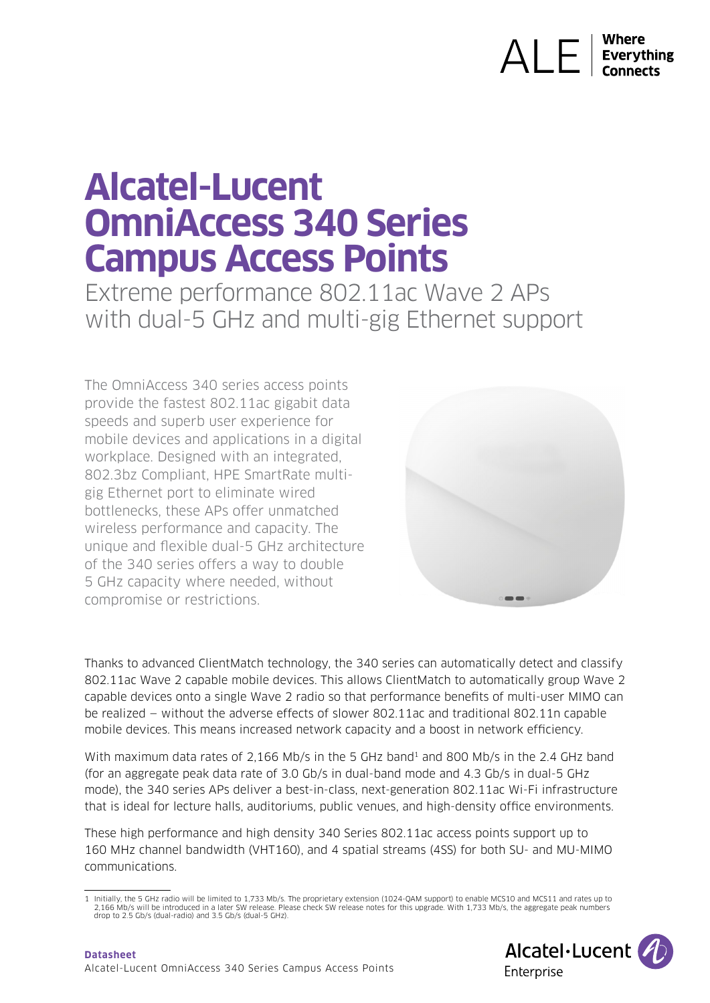# $\bigwedge \bigcup_{\text{Everything}}$

## **Alcatel-Lucent OmniAccess 340 Series Campus Access Points**

Extreme performance 802.11ac Wave 2 APs with dual-5 GHz and multi-gig Ethernet support

The OmniAccess 340 series access points provide the fastest 802.11ac gigabit data speeds and superb user experience for mobile devices and applications in a digital workplace. Designed with an integrated, 802.3bz Compliant, HPE SmartRate multigig Ethernet port to eliminate wired bottlenecks, these APs offer unmatched wireless performance and capacity. The unique and flexible dual-5 GHz architecture of the 340 series offers a way to double 5 GHz capacity where needed, without compromise or restrictions.



Thanks to advanced ClientMatch technology, the 340 series can automatically detect and classify 802.11ac Wave 2 capable mobile devices. This allows ClientMatch to automatically group Wave 2 capable devices onto a single Wave 2 radio so that performance benefits of multi-user MIMO can be realized — without the adverse effects of slower 802.11ac and traditional 802.11n capable mobile devices. This means increased network capacity and a boost in network efficiency.

With maximum data rates of 2,166 Mb/s in the 5 GHz band<sup>1</sup> and 800 Mb/s in the 2.4 GHz band (for an aggregate peak data rate of 3.0 Gb/s in dual-band mode and 4.3 Gb/s in dual-5 GHz mode), the 340 series APs deliver a best-in-class, next-generation 802.11ac Wi-Fi infrastructure that is ideal for lecture halls, auditoriums, public venues, and high-density office environments.

These high performance and high density 340 Series 802.11ac access points support up to 160 MHz channel bandwidth (VHT160), and 4 spatial streams (4SS) for both SU- and MU-MIMO communications.

<sup>1</sup> Initially, the 5 GHz radio will be limited to 1,733 Mb/s. The proprietary extension (1024-QAM support) to enable MCS10 and MCS11 and rates up to<br>2,166 Mb/s will be introduced in a later SW release. Please check SW releas drop to 2.5 Gb/s (dual-radio) and 3.5 Gb/s (dual-5 GHz).

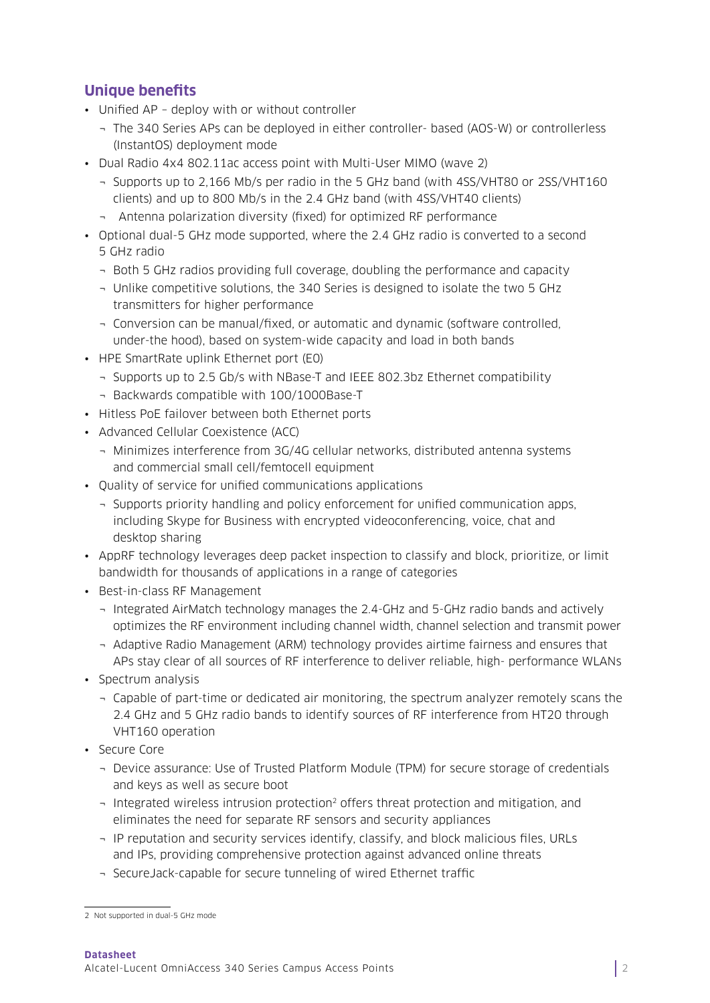#### **Unique benefits**

- Unified AP deploy with or without controller
	- ¬ The 340 Series APs can be deployed in either controller- based (AOS-W) or controllerless (InstantOS) deployment mode
- Dual Radio 4x4 802.11ac access point with Multi-User MIMO (wave 2)
	- ¬ Supports up to 2,166 Mb/s per radio in the 5 GHz band (with 4SS/VHT80 or 2SS/VHT160 clients) and up to 800 Mb/s in the 2.4 GHz band (with 4SS/VHT40 clients)
	- ¬ Antenna polarization diversity (fixed) for optimized RF performance
- Optional dual-5 GHz mode supported, where the 2.4 GHz radio is converted to a second 5 GHz radio
	- ¬ Both 5 GHz radios providing full coverage, doubling the performance and capacity
	- ¬ Unlike competitive solutions, the 340 Series is designed to isolate the two 5 GHz transmitters for higher performance
	- ¬ Conversion can be manual/fixed, or automatic and dynamic (software controlled, under-the hood), based on system-wide capacity and load in both bands
- HPE SmartRate uplink Ethernet port (E0)
	- ¬ Supports up to 2.5 Gb/s with NBase-T and IEEE 802.3bz Ethernet compatibility
	- ¬ Backwards compatible with 100/1000Base-T
- Hitless PoE failover between both Ethernet ports
- Advanced Cellular Coexistence (ACC)
	- ¬ Minimizes interference from 3G/4G cellular networks, distributed antenna systems and commercial small cell/femtocell equipment
- Quality of service for unified communications applications
	- ¬ Supports priority handling and policy enforcement for unified communication apps, including Skype for Business with encrypted videoconferencing, voice, chat and desktop sharing
- AppRF technology leverages deep packet inspection to classify and block, prioritize, or limit bandwidth for thousands of applications in a range of categories
- Best-in-class RF Management
	- ¬ Integrated AirMatch technology manages the 2.4-GHz and 5-GHz radio bands and actively optimizes the RF environment including channel width, channel selection and transmit power
	- ¬ Adaptive Radio Management (ARM) technology provides airtime fairness and ensures that APs stay clear of all sources of RF interference to deliver reliable, high- performance WLANs
- Spectrum analysis
	- ¬ Capable of part-time or dedicated air monitoring, the spectrum analyzer remotely scans the 2.4 GHz and 5 GHz radio bands to identify sources of RF interference from HT20 through VHT160 operation
- Secure Core
	- ¬ Device assurance: Use of Trusted Platform Module (TPM) for secure storage of credentials and keys as well as secure boot
	- ¬ Integrated wireless intrusion protection2 offers threat protection and mitigation, and eliminates the need for separate RF sensors and security appliances
	- ¬ IP reputation and security services identify, classify, and block malicious files, URLs and IPs, providing comprehensive protection against advanced online threats
	- ¬ SecureJack-capable for secure tunneling of wired Ethernet traffic

<sup>2</sup> Not supported in dual-5 GHz mode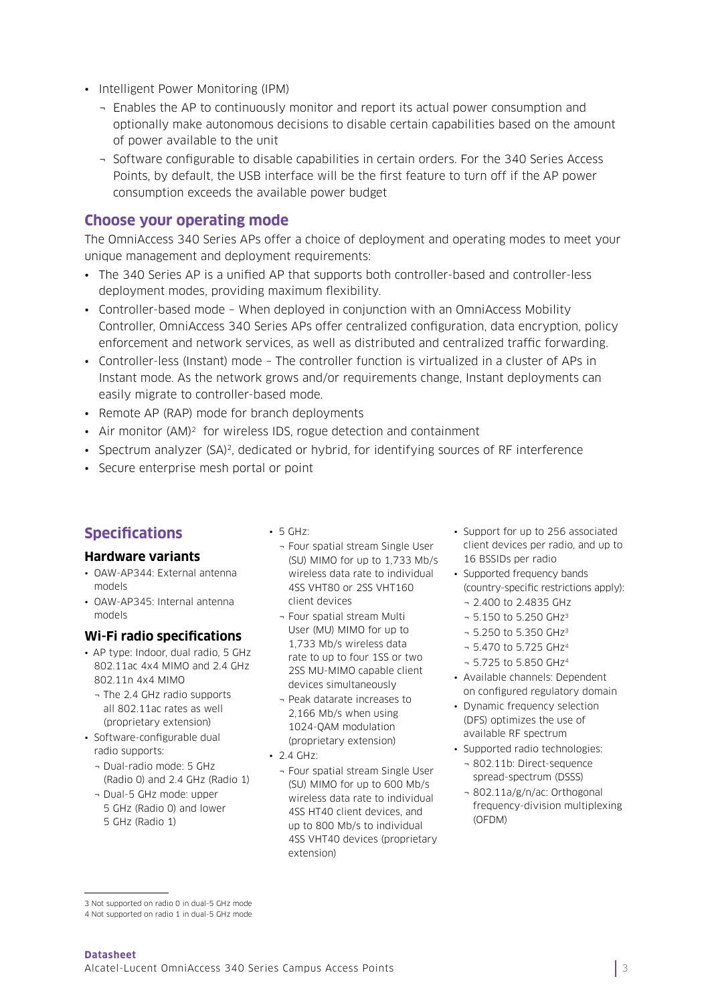- Intelligent Power Monitoring (IPM)
	- ¬ Enables the AP to continuously monitor and report its actual power consumption and optionally make autonomous decisions to disable certain capabilities based on the amount of power available to the unit
	- ¬ Software configurable to disable capabilities in certain orders. For the 340 Series Access Points, by default, the USB interface will be the first feature to turn off if the AP power consumption exceeds the available power budget

#### **Choose your operating mode**

The OmniAccess 340 Series APs offer a choice of deployment and operating modes to meet your unique management and deployment requirements:

- The 340 Series AP is a unified AP that supports both controller-based and controller-less deployment modes, providing maximum flexibility.
- Controller-based mode When deployed in conjunction with an OmniAccess Mobility Controller, OmniAccess 340 Series APs offer centralized configuration, data encryption, policy enforcement and network services, as well as distributed and centralized traffic forwarding.
- Controller-less (Instant) mode The controller function is virtualized in a cluster of APs in Instant mode. As the network grows and/or requirements change, Instant deployments can easily migrate to controller-based mode.
- Remote AP (RAP) mode for branch deployments
- Air monitor (AM)<sup>2</sup> for wireless IDS, rogue detection and containment
- Spectrum analyzer (SA)<sup>2</sup>, dedicated or hybrid, for identifying sources of RF interference
- Secure enterprise mesh portal or point

#### **Specifications**

#### **Hardware variants**

- OAW-AP344: External antenna models
- OAW-AP345: Internal antenna models

#### **Wi-Fi radio specifications**

- AP type: Indoor, dual radio, 5 GHz 802.11ac 4x4 MIMO and 2.4 GHz 802.11n 4x4 MIMO
	- ¬ The 2.4 GHz radio supports all 802.11ac rates as well (proprietary extension)
- Software-configurable dual radio supports:
	- ¬ Dual-radio mode: 5 GHz (Radio 0) and 2.4 GHz (Radio 1)
	- ¬ Dual-5 GHz mode: upper 5 GHz (Radio 0) and lower 5 GHz (Radio 1)
- 5 GHz:
	- ¬ Four spatial stream Single User (SU) MIMO for up to 1,733 Mb/s wireless data rate to individual 4SS VHT80 or 2SS VHT160 client devices
	- ¬ Four spatial stream Multi User (MU) MIMO for up to 1,733 Mb/s wireless data rate to up to four 1SS or two 2SS MU-MIMO capable client devices simultaneously
	- ¬ Peak datarate increases to 2,166 Mb/s when using 1024-QAM modulation (proprietary extension)
- 2.4 GHz:
	- ¬ Four spatial stream Single User (SU) MIMO for up to 600 Mb/s wireless data rate to individual 4SS HT40 client devices, and up to 800 Mb/s to individual 4SS VHT40 devices (proprietary extension)
- Support for up to 256 associated client devices per radio, and up to 16 BSSIDs per radio
- Supported frequency bands (country-specific restrictions apply): ¬ 2.400 to 2.4835 GHz
	-
	- $-5.150$  to 5.250 GHz<sup>3</sup> ¬ 5.250 to 5.350 GHz3
	- ¬ 5.470 to 5.725 GHz4
	-
- ¬ 5.725 to 5.850 GHz4
- Available channels: Dependent on configured regulatory domain
- Dynamic frequency selection (DFS) optimizes the use of available RF spectrum
- Supported radio technologies:
	- ¬ 802.11b: Direct-sequence spread-spectrum (DSSS)
	- ¬ 802.11a/g/n/ac: Orthogonal frequency-division multiplexing (OFDM)

<sup>3</sup> Not supported on radio 0 in dual-5 GHz mode

<sup>4</sup> Not supported on radio 1 in dual-5 GHz mode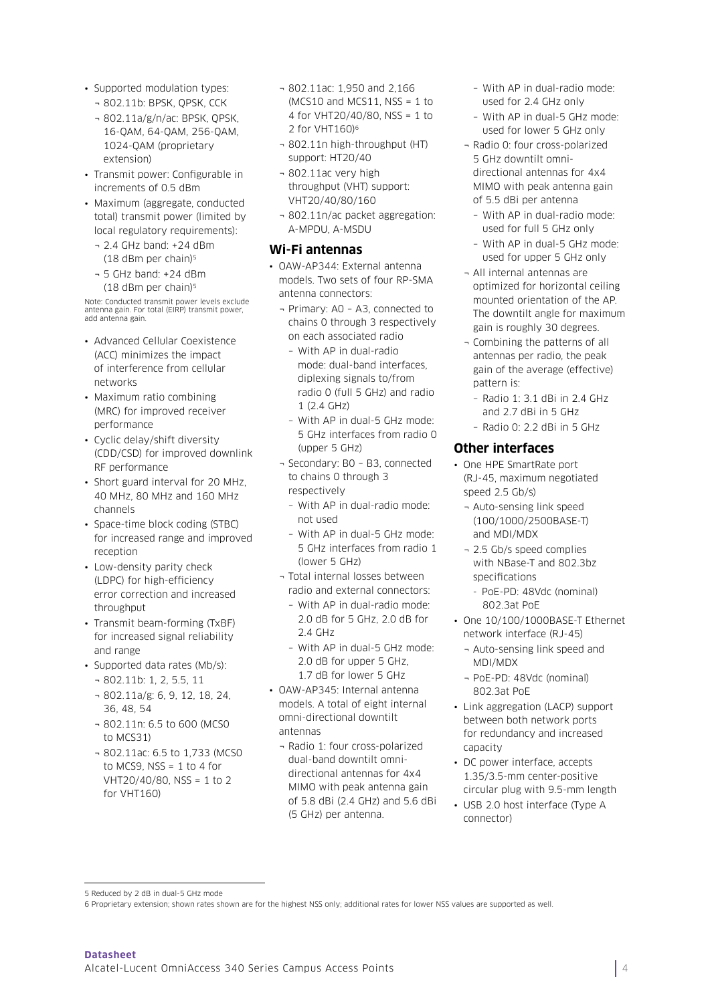- Supported modulation types:
	- ¬ 802.11b: BPSK, QPSK, CCK
	- ¬ 802.11a/g/n/ac: BPSK, QPSK, 16-QAM, 64-QAM, 256-QAM, 1024-QAM (proprietary extension)
- Transmit power: Configurable in increments of 0.5 dBm
- Maximum (aggregate, conducted total) transmit power (limited by local regulatory requirements):
	- ¬ 2.4 GHz band: +24 dBm (18 dBm per chain)5
	- ¬ 5 GHz band: +24 dBm  $(18$  dBm per chain)<sup>5</sup>

Note: Conducted transmit power levels exclude antenna gain. For total (EIRP) transmit power, add antenna gain.

- Advanced Cellular Coexistence (ACC) minimizes the impact of interference from cellular networks
- Maximum ratio combining (MRC) for improved receiver performance
- Cyclic delay/shift diversity (CDD/CSD) for improved downlink RF performance
- Short guard interval for 20 MHz, 40 MHz, 80 MHz and 160 MHz channels
- Space-time block coding (STBC) for increased range and improved reception
- Low-density parity check (LDPC) for high-efficiency error correction and increased throughput
- Transmit beam-forming (TxBF) for increased signal reliability and range
- Supported data rates (Mb/s):
	- ¬ 802.11b: 1, 2, 5.5, 11 ¬ 802.11a/g: 6, 9, 12, 18, 24, 36, 48, 54
	- ¬ 802.11n: 6.5 to 600 (MCS0 to MCS31)
	- ¬ 802.11ac: 6.5 to 1,733 (MCS0 to MCS9,  $NSS = 1$  to 4 for VHT20/40/80, NSS = 1 to 2 for VHT160)
- ¬ 802.11ac: 1,950 and 2,166  $(MCS10$  and  $MCS11$ ,  $NSS = 1$  to 4 for VHT20/40/80, NSS = 1 to 2 for VHT160)6
- ¬ 802.11n high-throughput (HT) support: HT20/40
- ¬ 802.11ac very high throughput (VHT) support: VHT20/40/80/160
- ¬ 802.11n/ac packet aggregation: A-MPDU, A-MSDU

#### **Wi-Fi antennas**

• OAW-AP344: External antenna models. Two sets of four RP-SMA antenna connectors:

- ¬ Primary: A0 A3, connected to chains 0 through 3 respectively on each associated radio
	- With AP in dual-radio mode: dual-band interfaces, diplexing signals to/from radio 0 (full 5 GHz) and radio 1 (2.4 GHz)
	- With AP in dual-5 GHz mode: 5 GHz interfaces from radio 0 (upper 5 GHz)
- ¬ Secondary: B0 B3, connected to chains 0 through 3 respectively
	- With AP in dual-radio mode: not used
	- With AP in dual-5 GHz mode: 5 GHz interfaces from radio 1 (lower 5 GHz)
- ¬ Total internal losses between radio and external connectors:
	- With AP in dual-radio mode: 2.0 dB for 5 GHz, 2.0 dB for 2.4 GHz
	- With AP in dual-5 GHz mode: 2.0 dB for upper 5 GHz, 1.7 dB for lower 5 GHz
- OAW-AP345: Internal antenna models. A total of eight internal omni-directional downtilt antennas
	- ¬ Radio 1: four cross-polarized dual-band downtilt omnidirectional antennas for 4x4 MIMO with peak antenna gain of 5.8 dBi (2.4 GHz) and 5.6 dBi (5 GHz) per antenna.
- With AP in dual-radio mode: used for 2.4 GHz only
- With AP in dual-5 GHz mode: used for lower 5 GHz only
- ¬ Radio 0: four cross-polarized 5 GHz downtilt omnidirectional antennas for 4x4 MIMO with peak antenna gain of 5.5 dBi per antenna
	- With AP in dual-radio mode: used for full 5 GHz only
- With AP in dual-5 GHz mode: used for upper 5 GHz only
- ¬ All internal antennas are optimized for horizontal ceiling mounted orientation of the AP. The downtilt angle for maximum gain is roughly 30 degrees.
- ¬ Combining the patterns of all antennas per radio, the peak gain of the average (effective) pattern is:
	- Radio 1: 3.1 dBi in 2.4 GHz and 2.7 dBi in 5 GHz
	- $-$  Radio 0: 2.2 dBi in 5 GHz

#### **Other interfaces**

- One HPE SmartRate port (RJ-45, maximum negotiated speed 2.5 Gb/s)
	- ¬ Auto-sensing link speed (100/1000/2500BASE-T) and MDI/MDX
	- ¬ 2.5 Gb/s speed complies with NBase-T and 802.3bz specifications
		- PoE-PD: 48Vdc (nominal) 802.3at PoE
- One 10/100/1000BASE-T Ethernet network interface (RJ-45)
	- ¬ Auto-sensing link speed and MDI/MDX
	- ¬ PoE-PD: 48Vdc (nominal) 802.3at PoE
- Link aggregation (LACP) support between both network ports for redundancy and increased capacity
- DC power interface, accepts 1.35/3.5-mm center-positive circular plug with 9.5-mm length
- USB 2.0 host interface (Type A connector)

<sup>5</sup> Reduced by 2 dB in dual-5 GHz mode

<sup>6</sup> Proprietary extension; shown rates shown are for the highest NSS only; additional rates for lower NSS values are supported as well.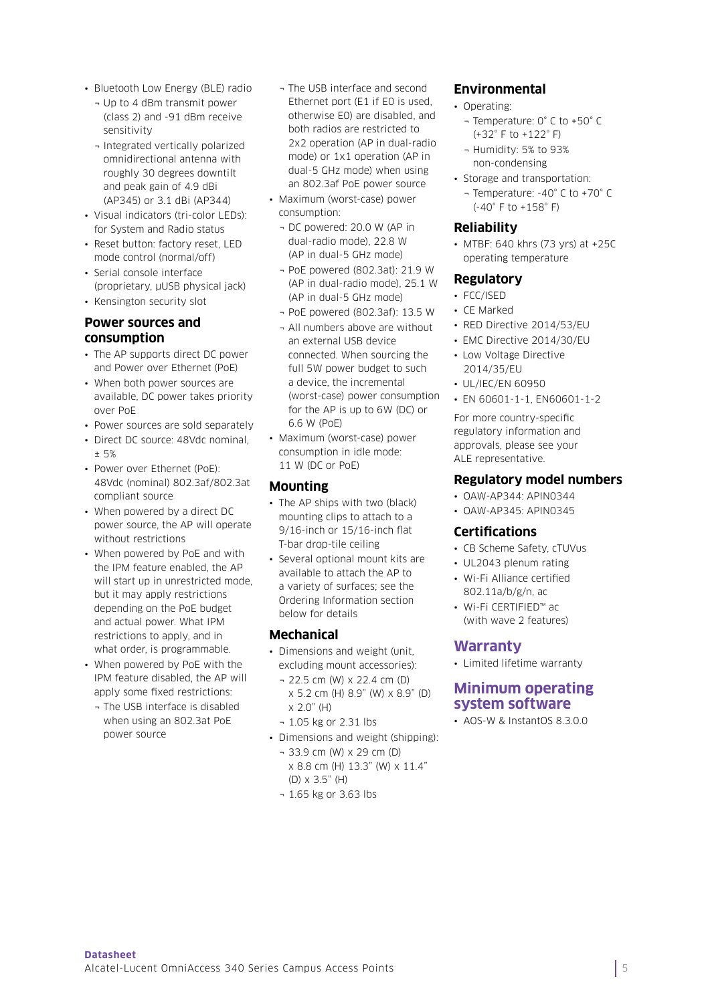- Bluetooth Low Energy (BLE) radio
	- ¬ Up to 4 dBm transmit power (class 2) and -91 dBm receive sensitivity
	- ¬ Integrated vertically polarized omnidirectional antenna with roughly 30 degrees downtilt and peak gain of 4.9 dBi (AP345) or 3.1 dBi (AP344)
- Visual indicators (tri-color LEDs): for System and Radio status
- Reset button: factory reset, LED mode control (normal/off) • Serial console interface
- (proprietary, µUSB physical jack)
- Kensington security slot

#### **Power sources and consumption**

- The AP supports direct DC power and Power over Ethernet (PoE)
- When both power sources are available, DC power takes priority over PoE
- Power sources are sold separately
- Direct DC source: 48Vdc nominal, ± 5%
- Power over Ethernet (PoE): 48Vdc (nominal) 802.3af/802.3at compliant source
- When powered by a direct DC power source, the AP will operate without restrictions
- When powered by PoE and with the IPM feature enabled, the AP will start up in unrestricted mode, but it may apply restrictions depending on the PoE budget and actual power. What IPM restrictions to apply, and in what order, is programmable.
- When powered by PoE with the IPM feature disabled, the AP will apply some fixed restrictions:
	- ¬ The USB interface is disabled when using an 802.3at PoE power source
- ¬ The USB interface and second Ethernet port (E1 if E0 is used, otherwise E0) are disabled, and both radios are restricted to 2x2 operation (AP in dual-radio mode) or 1x1 operation (AP in dual-5 GHz mode) when using an 802.3af PoE power source
- Maximum (worst-case) power consumption:
	- ¬ DC powered: 20.0 W (AP in dual-radio mode), 22.8 W (AP in dual-5 GHz mode)
	- ¬ PoE powered (802.3at): 21.9 W (AP in dual-radio mode), 25.1 W (AP in dual-5 GHz mode)
	- ¬ PoE powered (802.3af): 13.5 W
	- ¬ All numbers above are without an external USB device connected. When sourcing the full 5W power budget to such a device, the incremental (worst-case) power consumption for the AP is up to 6W (DC) or 6.6 W (PoE)
- Maximum (worst-case) power consumption in idle mode: 11 W (DC or PoE)

#### **Mounting**

- The AP ships with two (black) mounting clips to attach to a 9/16-inch or 15/16-inch flat T-bar drop-tile ceiling
- Several optional mount kits are available to attach the AP to a variety of surfaces; see the Ordering Information section below for details

#### **Mechanical**

- Dimensions and weight (unit, excluding mount accessories):
	- ¬ 22.5 cm (W) x 22.4 cm (D) x 5.2 cm (H) 8.9" (W) x 8.9" (D) x 2.0" (H)
	- ¬ 1.05 kg or 2.31 lbs
- Dimensions and weight (shipping): ¬ 33.9 cm (W) x 29 cm (D)
	- x 8.8 cm (H) 13.3" (W) x 11.4"
	- (D) x 3.5" (H)
	- ¬ 1.65 kg or 3.63 lbs

#### **Environmental**

- Operating:
	- ¬ Temperature: 0° C to +50° C (+32° F to +122° F)
	- ¬ Humidity: 5% to 93% non-condensing
- Storage and transportation:
	- ¬ Temperature: -40° C to +70° C (-40° F to +158° F)

#### **Reliability**

• MTBF: 640 khrs (73 yrs) at +25C operating temperature

#### **Regulatory**

- FCC/ISED
- CE Marked
- RED Directive 2014/53/EU
- EMC Directive 2014/30/EU
- Low Voltage Directive 2014/35/EU
- UL/IEC/EN 60950
- EN 60601-1-1, EN60601-1-2

For more country-specific regulatory information and approvals, please see your ALE representative.

#### **Regulatory model numbers**

- OAW-AP344: APIN0344
- OAW-AP345: APIN0345

#### **Certifications**

- CB Scheme Safety, cTUVus
- UL2043 plenum rating
- Wi-Fi Alliance certified 802.11a/b/g/n, ac
- Wi-Fi CERTIFIED™ ac (with wave 2 features)

#### **Warranty**

• Limited lifetime warranty

#### **Minimum operating system software**

• AOS-W & InstantOS 8.3.0.0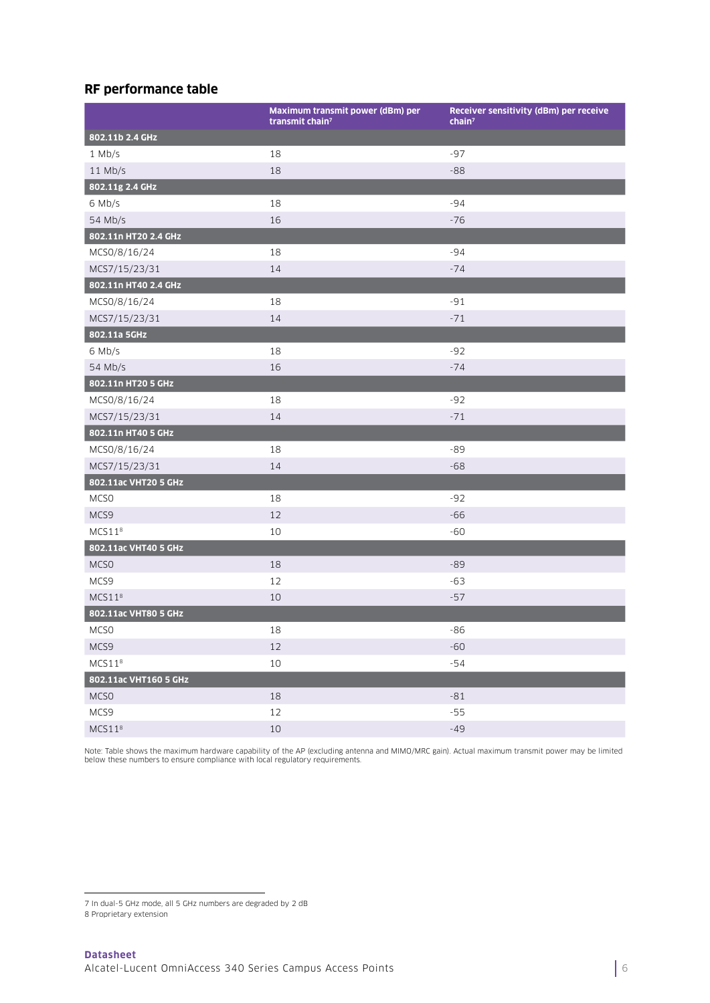#### **RF performance table**

|                       | Maximum transmit power (dBm) per<br>transmit chain <sup>7</sup> | Receiver sensitivity (dBm) per receive<br>chain <sup>7</sup> |
|-----------------------|-----------------------------------------------------------------|--------------------------------------------------------------|
| 802.11b 2.4 GHz       |                                                                 |                                                              |
| $1$ Mb/s              | 18                                                              | $-97$                                                        |
| $11$ Mb/s             | 18                                                              | $-88$                                                        |
| 802.11g 2.4 GHz       |                                                                 |                                                              |
| 6 Mb/s                | 18                                                              | $-94$                                                        |
| 54 Mb/s               | 16                                                              | $-76$                                                        |
| 802.11n HT20 2.4 GHz  |                                                                 |                                                              |
| MCS0/8/16/24          | 18                                                              | $-94$                                                        |
| MCS7/15/23/31         | 14                                                              | $-74$                                                        |
| 802.11n HT40 2.4 GHz  |                                                                 |                                                              |
| MCS0/8/16/24          | 18                                                              | $-91$                                                        |
| MCS7/15/23/31         | 14                                                              | $-71$                                                        |
| 802.11a 5GHz          |                                                                 |                                                              |
| 6 Mb/s                | 18                                                              | $-92$                                                        |
| 54 Mb/s               | 16                                                              | $-74$                                                        |
| 802.11n HT20 5 GHz    |                                                                 |                                                              |
| MCS0/8/16/24          | 18                                                              | $-92$                                                        |
| MCS7/15/23/31         | 14                                                              | $-71$                                                        |
| 802.11n HT40 5 GHz    |                                                                 |                                                              |
| MCS0/8/16/24          | 18                                                              | $-89$                                                        |
| MCS7/15/23/31         | 14                                                              | $-68$                                                        |
| 802.11ac VHT20 5 GHz  |                                                                 |                                                              |
| MCS <sub>0</sub>      | 18                                                              | $-92$                                                        |
| MCS9                  | 12                                                              | $-66$                                                        |
| MCS11 <sup>8</sup>    | 10                                                              | $-60$                                                        |
| 802.11ac VHT40 5 GHz  |                                                                 |                                                              |
| MCS <sub>0</sub>      | 18                                                              | $-89$                                                        |
| MCS9                  | 12                                                              | $-63$                                                        |
| MCS11 <sup>8</sup>    | 10                                                              | $-57$                                                        |
| 802.11ac VHT80 5 GHz  |                                                                 |                                                              |
| MCSO                  | 18                                                              | $-86$                                                        |
| MCS9                  | 12                                                              | $-60$                                                        |
| MCS11 <sup>8</sup>    | $10\,$                                                          | $-54$                                                        |
| 802.11ac VHT160 5 GHz |                                                                 |                                                              |
| MCSO                  | 18                                                              | $-81$                                                        |
| MCS9                  | 12                                                              | $-55$                                                        |
| MCS11 <sup>8</sup>    | 10                                                              | $-49$                                                        |

Note: Table shows the maximum hardware capability of the AP (excluding antenna and MIMO/MRC gain). Actual maximum transmit power may be limited below these numbers to ensure compliance with local regulatory requirements.

<sup>7</sup> In dual-5 GHz mode, all 5 GHz numbers are degraded by 2 dB

<sup>8</sup> Proprietary extension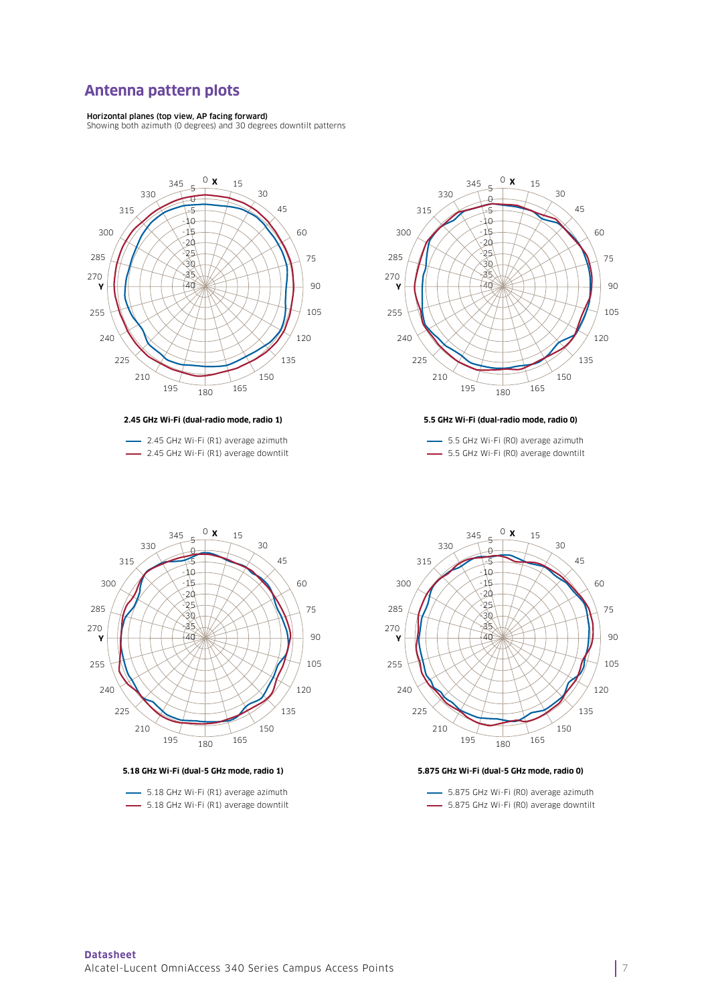#### **Antenna pattern plots**

**Horizontal planes (top view, AP facing forward)**<br>Showing both azimuth (O degrees) and 30 degrees downtilt patterns



**2.45 GHz Wi-Fi (dual-radio mode, radio 1)**

- 2.45 GHz Wi-Fi (R1) average azimuth 2.45 GHz Wi-Fi (R1) average downtilt



**5.5 GHz Wi-Fi (dual-radio mode, radio 0)**

- 5.5 GHz Wi-Fi (RO) average azimuth 5.5 GHz Wi-Fi (RO) average downtilt



**5.18 GHz Wi-Fi (dual-5 GHz mode, radio 1)**

- 5.18 GHz Wi-Fi (R1) average azimuth - 5.18 GHz Wi-Fi (R1) average downtilt



#### **5.875 GHz Wi-Fi (dual-5 GHz mode, radio 0)**

- 5.875 GHz Wi-Fi (RO) average azimuth 5.875 GHz Wi-Fi (RO) average downtilt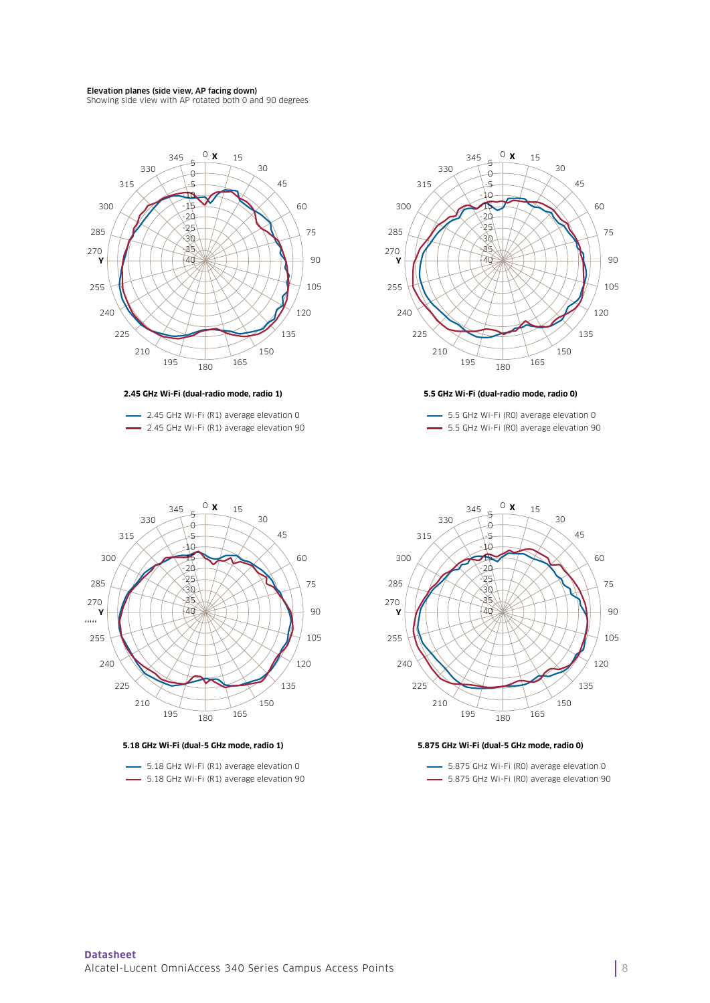#### Elevation planes (side view, AP facing down)

Showing side view with AP rotated both 0 and 90 degrees



**2.45 GHz Wi-Fi (dual-radio mode, radio 1)**

2.45 GHz Wi-Fi (R1) average elevation 0 **2.45 GHz Wi-Fi (R1) average elevation 90** 



#### **5.5 GHz Wi-Fi (dual-radio mode, radio 0)**

5.5 GHz Wi-Fi (R0) average elevation 0 5.5 GHz Wi-Fi (RO) average elevation 90



**5.18 GHz Wi-Fi (dual-5 GHz mode, radio 1)**

- 5.18 GHz Wi-Fi (R1) average elevation 0 5.18 GHz Wi-Fi (R1) average elevation 90



#### **5.875 GHz Wi-Fi (dual-5 GHz mode, radio 0)**

- 5.875 GHz Wi-Fi (RO) average elevation 0  $-$  5.875 GHz Wi-Fi (RO) average elevation 90